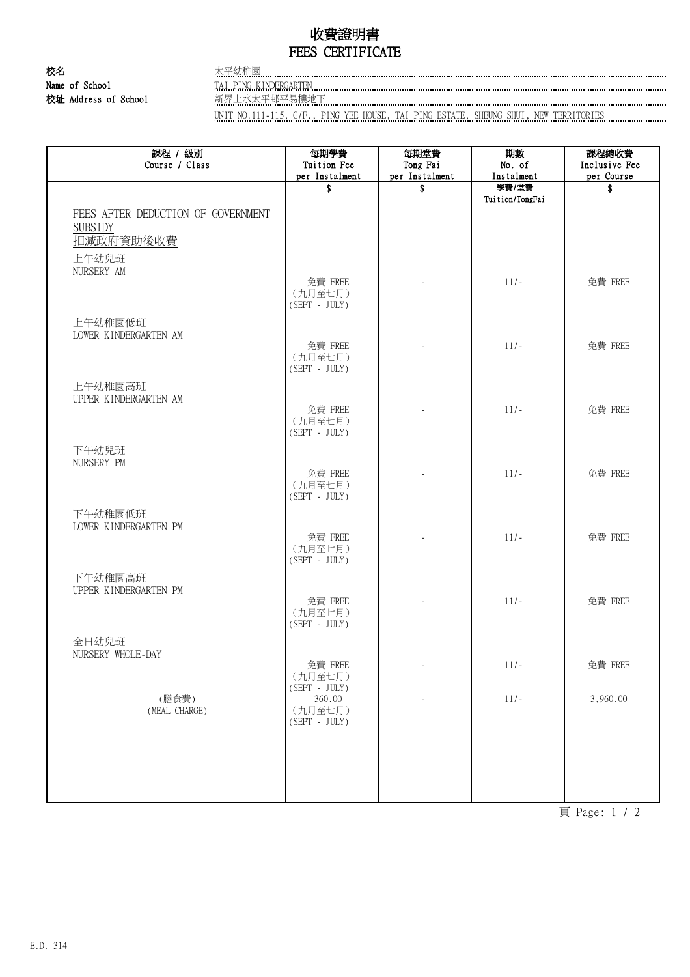## 收費證明書 FEES CERTIFICATE

校名 太平幼稚園 Name of School TAI PING KINDERGARTEN CONCERTEN CONTENTING TO THE TAIL PING KINDERGARTEN 校址 Address of School 新界上水太平邨平易樓地下

UNIT NO.111-115, G/F., PING YEE HOUSE, TAI PING ESTATE, SHEUNG SHUI, NEW TERRITORIES

| 課程 / 級別<br>Course / Class                                         | 每期學費<br>Tuition Fee                   | 每期堂費<br>Tong Fai | 期數<br>No. of    | 課程總收費<br>Inclusive Fee |
|-------------------------------------------------------------------|---------------------------------------|------------------|-----------------|------------------------|
|                                                                   | per Instalment                        | per Instalment   | Instalment      | per Course             |
|                                                                   | \$                                    | \$               | 學費/堂費           | \$                     |
| FEES AFTER DEDUCTION OF GOVERNMENT<br><b>SUBSIDY</b><br>扣减政府資助後收費 |                                       |                  | Tuition/TongFai |                        |
| 上午幼兒班<br>NURSERY AM                                               |                                       |                  |                 |                        |
|                                                                   | 免費 FREE<br>(九月至七月)<br>$(SEPT - JULY)$ |                  | $11/-$          | 免費 FREE                |
| 上午幼稚園低班<br>LOWER KINDERGARTEN AM                                  |                                       |                  |                 |                        |
|                                                                   | 免費 FREE<br>(九月至七月)<br>$(SEPT - JULY)$ |                  | $11/-$          | 免費 FREE                |
| 上午幼稚園高班<br>UPPER KINDERGARTEN AM                                  | 免費 FREE                               |                  | $11/-$          | 免費 FREE                |
|                                                                   | (九月至七月)<br>$(SEPT - JULY)$            |                  |                 |                        |
| 下午幼兒班<br>NURSERY PM                                               | 免費 FREE                               |                  | $11/-$          | 免費 FREE                |
|                                                                   | (九月至七月)<br>$(SEPT - JULY)$            |                  |                 |                        |
| 下午幼稚園低班<br>LOWER KINDERGARTEN PM                                  | 免費 FREE                               |                  | $11/-$          | 免費 FREE                |
|                                                                   | (九月至七月)<br>$(SEPT - JULY)$            |                  |                 |                        |
| 下午幼稚園高班<br>UPPER KINDERGARTEN PM                                  |                                       |                  |                 |                        |
|                                                                   | 免費 FREE<br>(九月至七月)<br>$(SEPT - JULY)$ |                  | $11/-$          | 免費 FREE                |
| 全日幼兒班<br>NURSERY WHOLE-DAY                                        |                                       |                  |                 |                        |
|                                                                   | 免費 FREE<br>(九月至七月)<br>$(SEPT - JULY)$ |                  | $11/-$          | 免費 FREE                |
| (膳食費)<br>(MEAL CHARGE)                                            | 360.00<br>(九月至七月)<br>$(SEPT - JULY)$  |                  | $11/-$          | 3,960.00               |
|                                                                   |                                       |                  |                 |                        |
|                                                                   |                                       |                  |                 |                        |
|                                                                   |                                       |                  |                 |                        |

頁 Page: 1 / 2